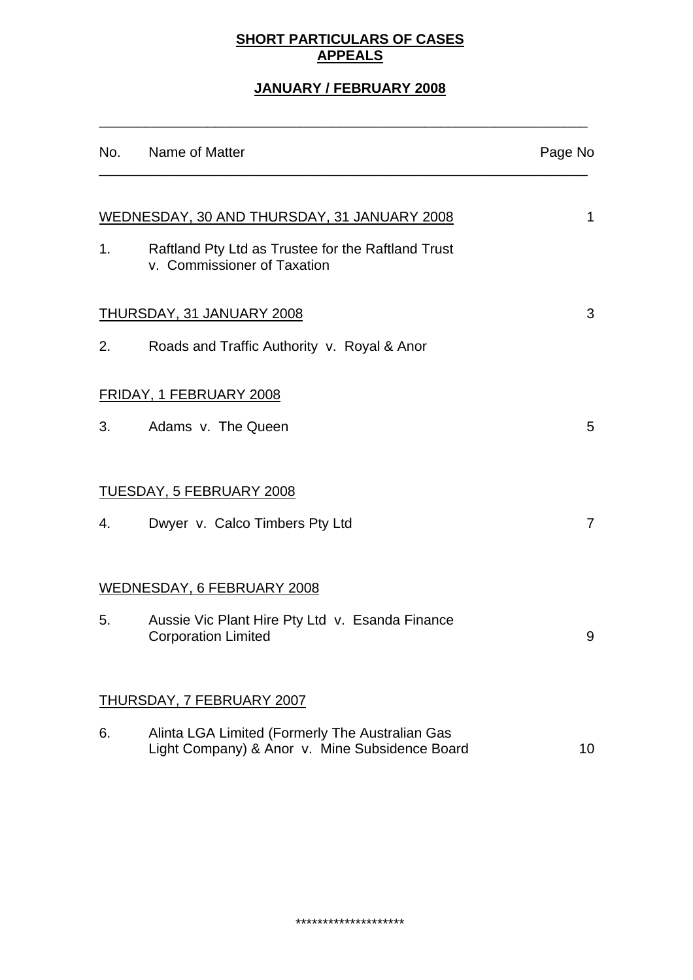# **SHORT PARTICULARS OF CASES APPEALS**

# **JANUARY / FEBRUARY 2008**

\_\_\_\_\_\_\_\_\_\_\_\_\_\_\_\_\_\_\_\_\_\_\_\_\_\_\_\_\_\_\_\_\_\_\_\_\_\_\_\_\_\_\_\_\_\_\_\_\_\_\_\_\_\_\_\_\_\_\_\_\_\_\_

|                                                          | No. Name of Matter                                                                                | Page No        |  |
|----------------------------------------------------------|---------------------------------------------------------------------------------------------------|----------------|--|
|                                                          |                                                                                                   |                |  |
| <u>WEDNESDAY, 30 AND THURSDAY, 31 JANUARY 2008</u><br>1. |                                                                                                   |                |  |
| 1.                                                       | Raftland Pty Ltd as Trustee for the Raftland Trust<br>v. Commissioner of Taxation                 |                |  |
| <u>THURSDAY, 31 JANUARY 2008</u><br>3                    |                                                                                                   |                |  |
| 2.                                                       | Roads and Traffic Authority v. Royal & Anor                                                       |                |  |
| FRIDAY, 1 FEBRUARY 2008                                  |                                                                                                   |                |  |
| 3.                                                       | Adams v. The Queen                                                                                | 5              |  |
|                                                          |                                                                                                   |                |  |
| TUESDAY, 5 FEBRUARY 2008                                 |                                                                                                   |                |  |
| 4.                                                       | Dwyer v. Calco Timbers Pty Ltd                                                                    | $\overline{7}$ |  |
|                                                          |                                                                                                   |                |  |
|                                                          | WEDNESDAY, 6 FEBRUARY 2008                                                                        |                |  |
| 5.                                                       | Aussie Vic Plant Hire Pty Ltd v. Esanda Finance<br><b>Corporation Limited</b>                     | 9              |  |
|                                                          |                                                                                                   |                |  |
|                                                          | <b>THURSDAY, 7 FEBRUARY 2007</b>                                                                  |                |  |
| 6.                                                       | Alinta LGA Limited (Formerly The Australian Gas<br>Light Company) & Anor v. Mine Subsidence Board | 10             |  |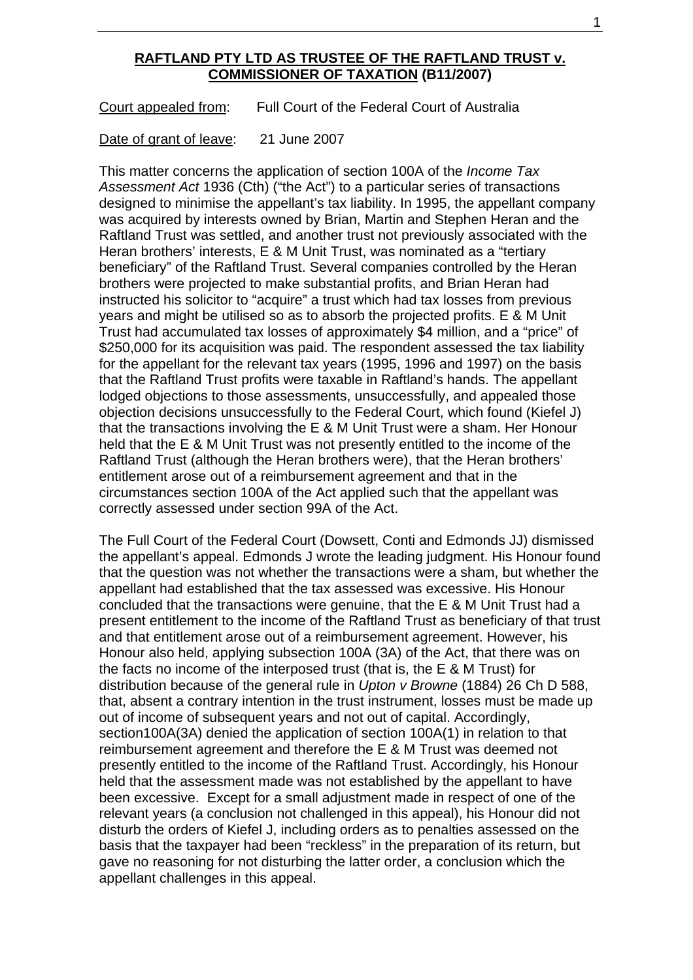### **RAFTLAND PTY LTD AS TRUSTEE OF THE RAFTLAND TRUST v. COMMISSIONER OF TAXATION (B11/2007)**

Court appealed from: Full Court of the Federal Court of Australia

Date of grant of leave: 21 June 2007

This matter concerns the application of section 100A of the *Income Tax Assessment Act* 1936 (Cth) ("the Act") to a particular series of transactions designed to minimise the appellant's tax liability. In 1995, the appellant company was acquired by interests owned by Brian, Martin and Stephen Heran and the Raftland Trust was settled, and another trust not previously associated with the Heran brothers' interests, E & M Unit Trust, was nominated as a "tertiary beneficiary" of the Raftland Trust. Several companies controlled by the Heran brothers were projected to make substantial profits, and Brian Heran had instructed his solicitor to "acquire" a trust which had tax losses from previous years and might be utilised so as to absorb the projected profits. E & M Unit Trust had accumulated tax losses of approximately \$4 million, and a "price" of \$250,000 for its acquisition was paid. The respondent assessed the tax liability for the appellant for the relevant tax years (1995, 1996 and 1997) on the basis that the Raftland Trust profits were taxable in Raftland's hands. The appellant lodged objections to those assessments, unsuccessfully, and appealed those objection decisions unsuccessfully to the Federal Court, which found (Kiefel J) that the transactions involving the E & M Unit Trust were a sham. Her Honour held that the E & M Unit Trust was not presently entitled to the income of the Raftland Trust (although the Heran brothers were), that the Heran brothers' entitlement arose out of a reimbursement agreement and that in the circumstances section 100A of the Act applied such that the appellant was correctly assessed under section 99A of the Act.

The Full Court of the Federal Court (Dowsett, Conti and Edmonds JJ) dismissed the appellant's appeal. Edmonds J wrote the leading judgment. His Honour found that the question was not whether the transactions were a sham, but whether the appellant had established that the tax assessed was excessive. His Honour concluded that the transactions were genuine, that the E & M Unit Trust had a present entitlement to the income of the Raftland Trust as beneficiary of that trust and that entitlement arose out of a reimbursement agreement. However, his Honour also held, applying subsection 100A (3A) of the Act, that there was on the facts no income of the interposed trust (that is, the E & M Trust) for distribution because of the general rule in *Upton v Browne* (1884) 26 Ch D 588, that, absent a contrary intention in the trust instrument, losses must be made up out of income of subsequent years and not out of capital. Accordingly, section100A(3A) denied the application of section 100A(1) in relation to that reimbursement agreement and therefore the E & M Trust was deemed not presently entitled to the income of the Raftland Trust. Accordingly, his Honour held that the assessment made was not established by the appellant to have been excessive. Except for a small adjustment made in respect of one of the relevant years (a conclusion not challenged in this appeal), his Honour did not disturb the orders of Kiefel J, including orders as to penalties assessed on the basis that the taxpayer had been "reckless" in the preparation of its return, but gave no reasoning for not disturbing the latter order, a conclusion which the appellant challenges in this appeal.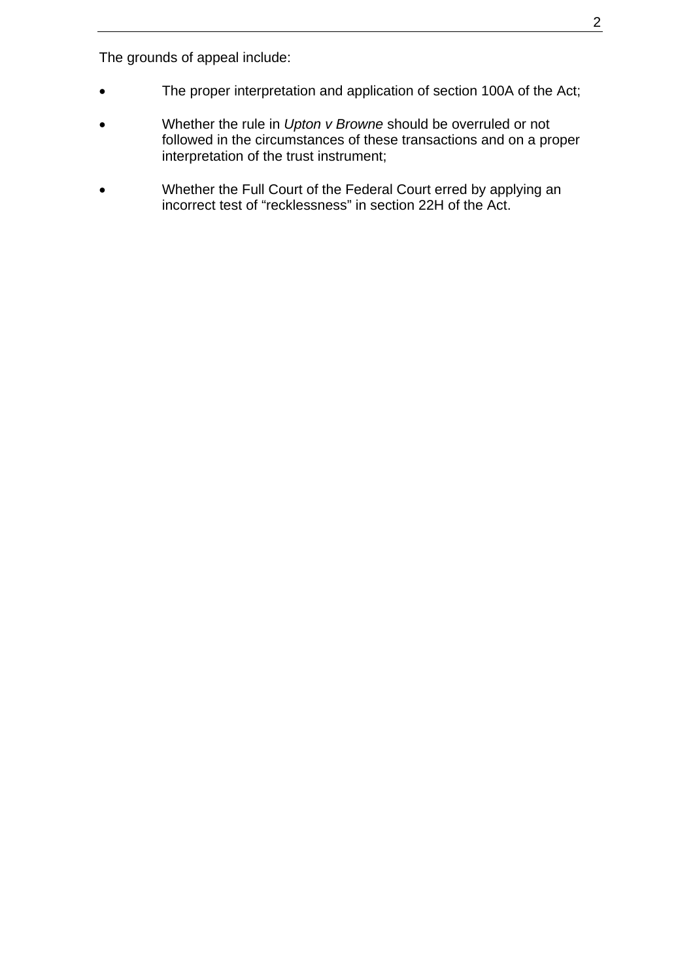The grounds of appeal include:

- The proper interpretation and application of section 100A of the Act;
- Whether the rule in *Upton v Browne* should be overruled or not followed in the circumstances of these transactions and on a proper interpretation of the trust instrument;
- Whether the Full Court of the Federal Court erred by applying an incorrect test of "recklessness" in section 22H of the Act.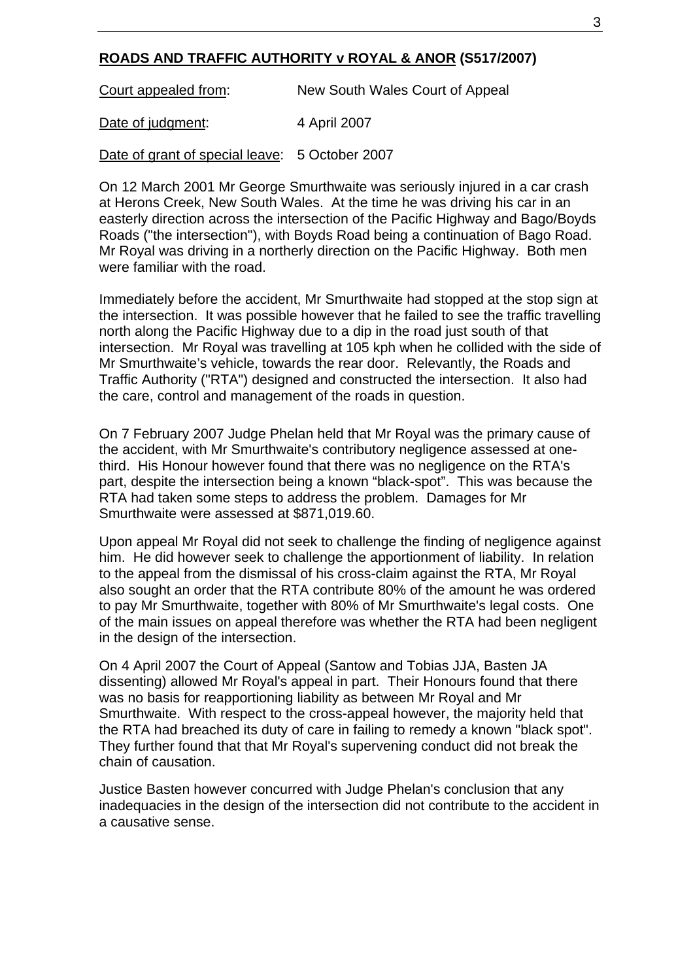## **ROADS AND TRAFFIC AUTHORITY v ROYAL & ANOR (S517/2007)**

Court appealed from: New South Wales Court of Appeal

Date of judgment: 4 April 2007

Date of grant of special leave: 5 October 2007

On 12 March 2001 Mr George Smurthwaite was seriously injured in a car crash at Herons Creek, New South Wales. At the time he was driving his car in an easterly direction across the intersection of the Pacific Highway and Bago/Boyds Roads ("the intersection"), with Boyds Road being a continuation of Bago Road. Mr Royal was driving in a northerly direction on the Pacific Highway. Both men were familiar with the road.

Immediately before the accident, Mr Smurthwaite had stopped at the stop sign at the intersection. It was possible however that he failed to see the traffic travelling north along the Pacific Highway due to a dip in the road just south of that intersection. Mr Royal was travelling at 105 kph when he collided with the side of Mr Smurthwaite's vehicle, towards the rear door. Relevantly, the Roads and Traffic Authority ("RTA") designed and constructed the intersection. It also had the care, control and management of the roads in question.

On 7 February 2007 Judge Phelan held that Mr Royal was the primary cause of the accident, with Mr Smurthwaite's contributory negligence assessed at onethird. His Honour however found that there was no negligence on the RTA's part, despite the intersection being a known "black-spot". This was because the RTA had taken some steps to address the problem. Damages for Mr Smurthwaite were assessed at \$871,019.60.

Upon appeal Mr Royal did not seek to challenge the finding of negligence against him. He did however seek to challenge the apportionment of liability. In relation to the appeal from the dismissal of his cross-claim against the RTA, Mr Royal also sought an order that the RTA contribute 80% of the amount he was ordered to pay Mr Smurthwaite, together with 80% of Mr Smurthwaite's legal costs. One of the main issues on appeal therefore was whether the RTA had been negligent in the design of the intersection.

On 4 April 2007 the Court of Appeal (Santow and Tobias JJA, Basten JA dissenting) allowed Mr Royal's appeal in part. Their Honours found that there was no basis for reapportioning liability as between Mr Royal and Mr Smurthwaite. With respect to the cross-appeal however, the majority held that the RTA had breached its duty of care in failing to remedy a known "black spot". They further found that that Mr Royal's supervening conduct did not break the chain of causation.

Justice Basten however concurred with Judge Phelan's conclusion that any inadequacies in the design of the intersection did not contribute to the accident in a causative sense.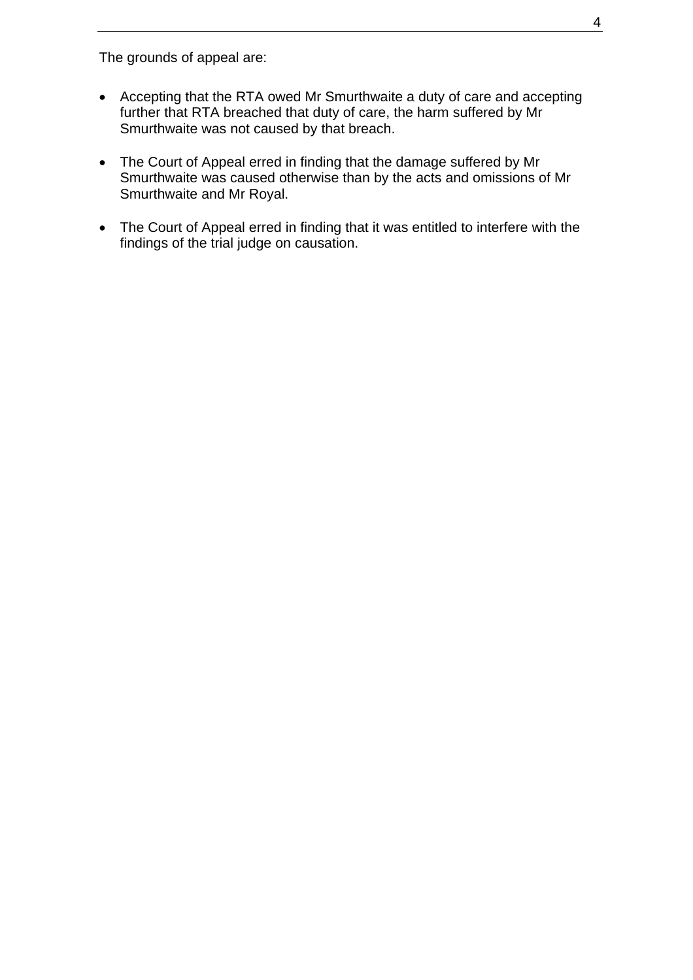The grounds of appeal are:

- Accepting that the RTA owed Mr Smurthwaite a duty of care and accepting further that RTA breached that duty of care, the harm suffered by Mr Smurthwaite was not caused by that breach.
- The Court of Appeal erred in finding that the damage suffered by Mr Smurthwaite was caused otherwise than by the acts and omissions of Mr Smurthwaite and Mr Royal.
- The Court of Appeal erred in finding that it was entitled to interfere with the findings of the trial judge on causation.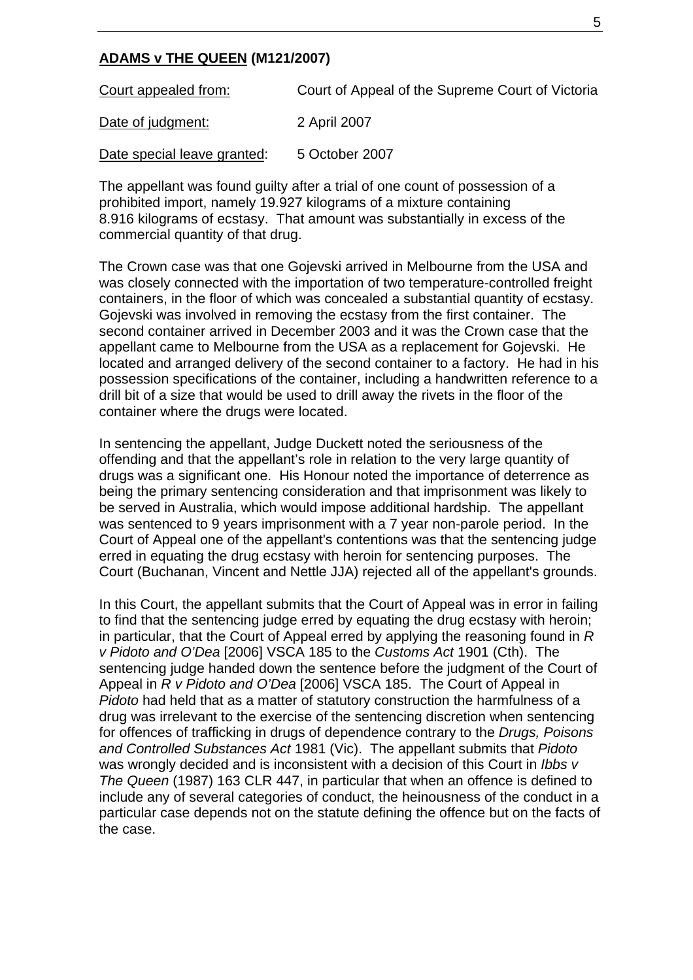#### **ADAMS v THE QUEEN (M121/2007)**

Court appealed from:Court of Appeal of the Supreme Court of Victoria Date of judgment:2 April 2007

Date special leave granted: 5 October 2007

The appellant was found guilty after a trial of one count of possession of a prohibited import, namely 19.927 kilograms of a mixture containing 8.916 kilograms of ecstasy. That amount was substantially in excess of the commercial quantity of that drug.

The Crown case was that one Gojevski arrived in Melbourne from the USA and was closely connected with the importation of two temperature-controlled freight containers, in the floor of which was concealed a substantial quantity of ecstasy. Gojevski was involved in removing the ecstasy from the first container. The second container arrived in December 2003 and it was the Crown case that the appellant came to Melbourne from the USA as a replacement for Gojevski. He located and arranged delivery of the second container to a factory. He had in his possession specifications of the container, including a handwritten reference to a drill bit of a size that would be used to drill away the rivets in the floor of the container where the drugs were located.

In sentencing the appellant, Judge Duckett noted the seriousness of the offending and that the appellant's role in relation to the very large quantity of drugs was a significant one. His Honour noted the importance of deterrence as being the primary sentencing consideration and that imprisonment was likely to be served in Australia, which would impose additional hardship. The appellant was sentenced to 9 years imprisonment with a 7 year non-parole period. In the Court of Appeal one of the appellant's contentions was that the sentencing judge erred in equating the drug ecstasy with heroin for sentencing purposes. The Court (Buchanan, Vincent and Nettle JJA) rejected all of the appellant's grounds.

In this Court, the appellant submits that the Court of Appeal was in error in failing to find that the sentencing judge erred by equating the drug ecstasy with heroin; in particular, that the Court of Appeal erred by applying the reasoning found in *R v Pidoto and O'Dea* [2006] VSCA 185 to the *Customs Act* 1901 (Cth). The sentencing judge handed down the sentence before the judgment of the Court of Appeal in *R v Pidoto and O'Dea* [2006] VSCA 185. The Court of Appeal in *Pidoto* had held that as a matter of statutory construction the harmfulness of a drug was irrelevant to the exercise of the sentencing discretion when sentencing for offences of trafficking in drugs of dependence contrary to the *Drugs, Poisons and Controlled Substances Act* 1981 (Vic). The appellant submits that *Pidoto* was wrongly decided and is inconsistent with a decision of this Court in *Ibbs v The Queen* (1987) 163 CLR 447, in particular that when an offence is defined to include any of several categories of conduct, the heinousness of the conduct in a particular case depends not on the statute defining the offence but on the facts of the case.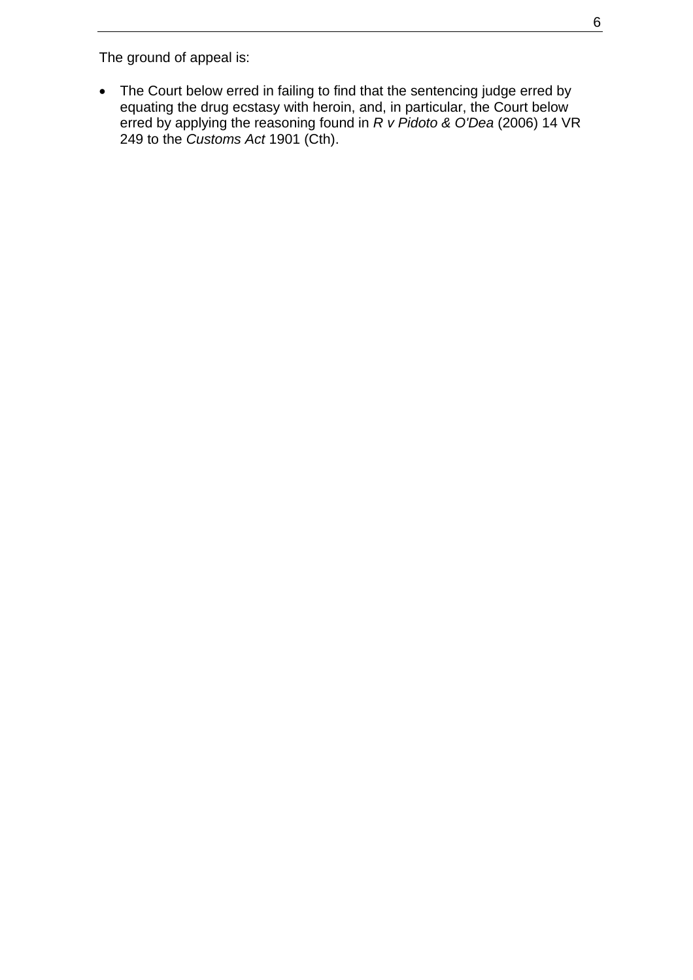The ground of appeal is:

• The Court below erred in failing to find that the sentencing judge erred by equating the drug ecstasy with heroin, and, in particular, the Court below erred by applying the reasoning found in *R v Pidoto & O'Dea* (2006) 14 VR 249 to the *Customs Act* 1901 (Cth).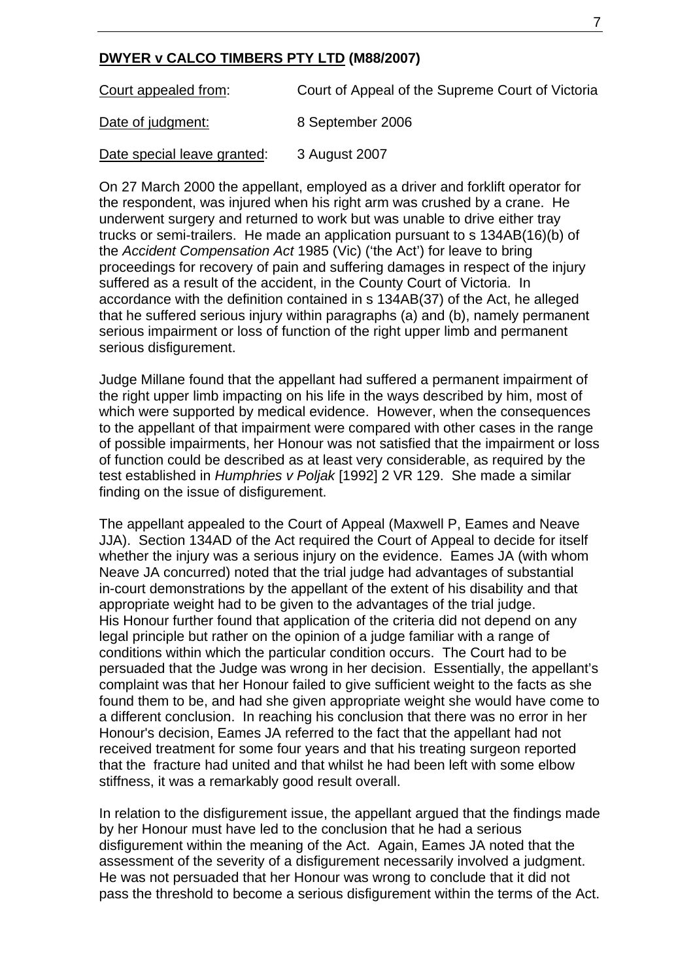### **DWYER v CALCO TIMBERS PTY LTD (M88/2007)**

Court appealed from:Court of Appeal of the Supreme Court of Victoria Date of judgment: 8 September 2006

Date special leave granted: 3 August 2007

On 27 March 2000 the appellant, employed as a driver and forklift operator for the respondent, was injured when his right arm was crushed by a crane. He underwent surgery and returned to work but was unable to drive either tray trucks or semi-trailers. He made an application pursuant to s 134AB(16)(b) of the *Accident Compensation Act* 1985 (Vic) ('the Act') for leave to bring proceedings for recovery of pain and suffering damages in respect of the injury suffered as a result of the accident, in the County Court of Victoria. In accordance with the definition contained in s 134AB(37) of the Act, he alleged that he suffered serious injury within paragraphs (a) and (b), namely permanent serious impairment or loss of function of the right upper limb and permanent serious disfigurement.

Judge Millane found that the appellant had suffered a permanent impairment of the right upper limb impacting on his life in the ways described by him, most of which were supported by medical evidence. However, when the consequences to the appellant of that impairment were compared with other cases in the range of possible impairments, her Honour was not satisfied that the impairment or loss of function could be described as at least very considerable, as required by the test established in *Humphries v Poljak* [1992] 2 VR 129. She made a similar finding on the issue of disfigurement.

The appellant appealed to the Court of Appeal (Maxwell P, Eames and Neave JJA). Section 134AD of the Act required the Court of Appeal to decide for itself whether the injury was a serious injury on the evidence. Eames JA (with whom Neave JA concurred) noted that the trial judge had advantages of substantial in-court demonstrations by the appellant of the extent of his disability and that appropriate weight had to be given to the advantages of the trial judge. His Honour further found that application of the criteria did not depend on any legal principle but rather on the opinion of a judge familiar with a range of conditions within which the particular condition occurs. The Court had to be persuaded that the Judge was wrong in her decision. Essentially, the appellant's complaint was that her Honour failed to give sufficient weight to the facts as she found them to be, and had she given appropriate weight she would have come to a different conclusion. In reaching his conclusion that there was no error in her Honour's decision, Eames JA referred to the fact that the appellant had not received treatment for some four years and that his treating surgeon reported that the fracture had united and that whilst he had been left with some elbow stiffness, it was a remarkably good result overall.

In relation to the disfigurement issue, the appellant argued that the findings made by her Honour must have led to the conclusion that he had a serious disfigurement within the meaning of the Act. Again, Eames JA noted that the assessment of the severity of a disfigurement necessarily involved a judgment. He was not persuaded that her Honour was wrong to conclude that it did not pass the threshold to become a serious disfigurement within the terms of the Act.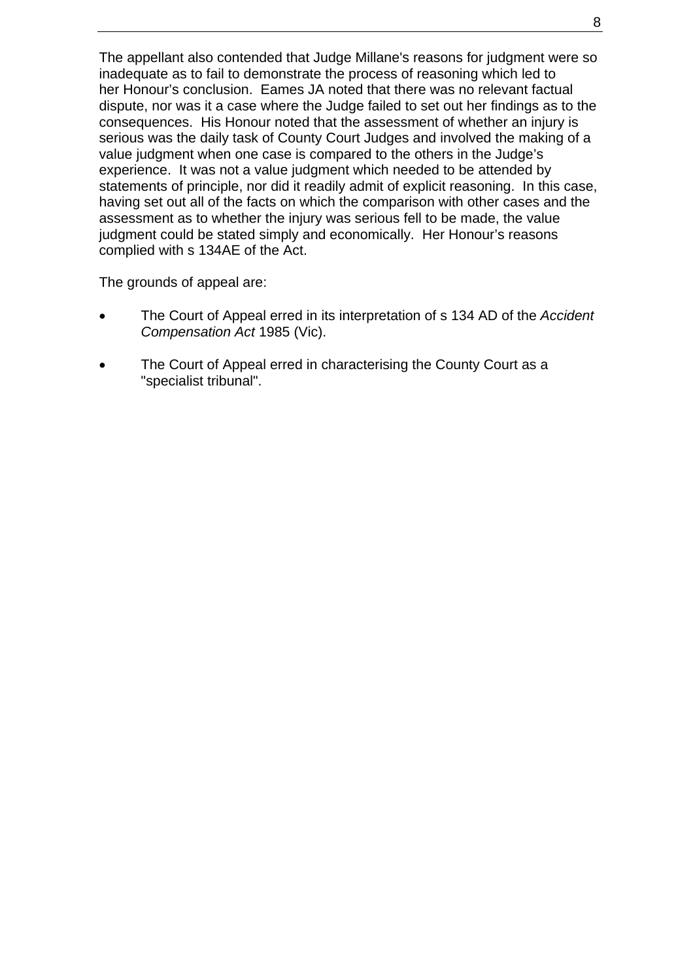The appellant also contended that Judge Millane's reasons for judgment were so inadequate as to fail to demonstrate the process of reasoning which led to her Honour's conclusion. Eames JA noted that there was no relevant factual dispute, nor was it a case where the Judge failed to set out her findings as to the consequences. His Honour noted that the assessment of whether an injury is serious was the daily task of County Court Judges and involved the making of a value judgment when one case is compared to the others in the Judge's experience. It was not a value judgment which needed to be attended by statements of principle, nor did it readily admit of explicit reasoning. In this case, having set out all of the facts on which the comparison with other cases and the assessment as to whether the injury was serious fell to be made, the value judgment could be stated simply and economically. Her Honour's reasons complied with s 134AE of the Act.

The grounds of appeal are:

- The Court of Appeal erred in its interpretation of s 134 AD of the *Accident Compensation Act* 1985 (Vic).
- The Court of Appeal erred in characterising the County Court as a "specialist tribunal".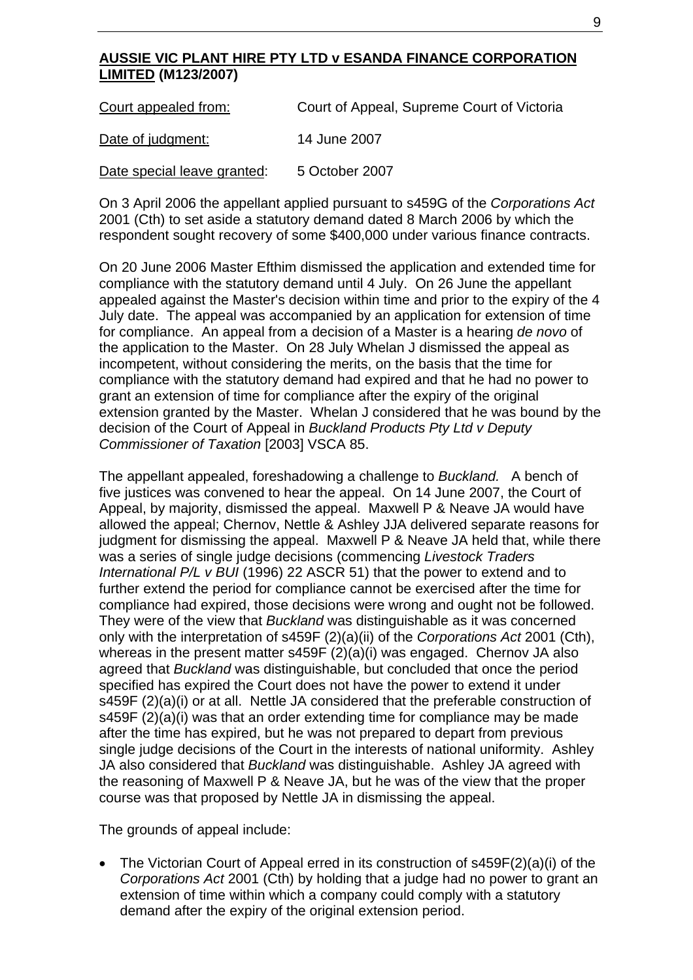### **AUSSIE VIC PLANT HIRE PTY LTD v ESANDA FINANCE CORPORATION LIMITED (M123/2007)**

| Court appealed from:        | Court of Appeal, Supreme Court of Victoria |
|-----------------------------|--------------------------------------------|
| Date of judgment:           | 14 June 2007                               |
| Date special leave granted: | 5 October 2007                             |

On 3 April 2006 the appellant applied pursuant to s459G of the *Corporations Act* 2001 (Cth) to set aside a statutory demand dated 8 March 2006 by which the respondent sought recovery of some \$400,000 under various finance contracts.

On 20 June 2006 Master Efthim dismissed the application and extended time for compliance with the statutory demand until 4 July. On 26 June the appellant appealed against the Master's decision within time and prior to the expiry of the 4 July date. The appeal was accompanied by an application for extension of time for compliance. An appeal from a decision of a Master is a hearing *de novo* of the application to the Master. On 28 July Whelan J dismissed the appeal as incompetent, without considering the merits, on the basis that the time for compliance with the statutory demand had expired and that he had no power to grant an extension of time for compliance after the expiry of the original extension granted by the Master. Whelan J considered that he was bound by the decision of the Court of Appeal in *Buckland Products Pty Ltd v Deputy Commissioner of Taxation* [2003] VSCA 85.

The appellant appealed, foreshadowing a challenge to *Buckland.* A bench of five justices was convened to hear the appeal. On 14 June 2007, the Court of Appeal, by majority, dismissed the appeal. Maxwell P & Neave JA would have allowed the appeal; Chernov, Nettle & Ashley JJA delivered separate reasons for judgment for dismissing the appeal. Maxwell P & Neave JA held that, while there was a series of single judge decisions (commencing *Livestock Traders International P/L v BUI* (1996) 22 ASCR 51) that the power to extend and to further extend the period for compliance cannot be exercised after the time for compliance had expired, those decisions were wrong and ought not be followed. They were of the view that *Buckland* was distinguishable as it was concerned only with the interpretation of s459F (2)(a)(ii) of the *Corporations Act* 2001 (Cth), whereas in the present matter s459F (2)(a)(i) was engaged. Chernov JA also agreed that *Buckland* was distinguishable, but concluded that once the period specified has expired the Court does not have the power to extend it under s459F (2)(a)(i) or at all. Nettle JA considered that the preferable construction of s459F (2)(a)(i) was that an order extending time for compliance may be made after the time has expired, but he was not prepared to depart from previous single judge decisions of the Court in the interests of national uniformity. Ashley JA also considered that *Buckland* was distinguishable. Ashley JA agreed with the reasoning of Maxwell P & Neave JA, but he was of the view that the proper course was that proposed by Nettle JA in dismissing the appeal.

The grounds of appeal include:

• The Victorian Court of Appeal erred in its construction of s459F(2)(a)(i) of the *Corporations Act* 2001 (Cth) by holding that a judge had no power to grant an extension of time within which a company could comply with a statutory demand after the expiry of the original extension period.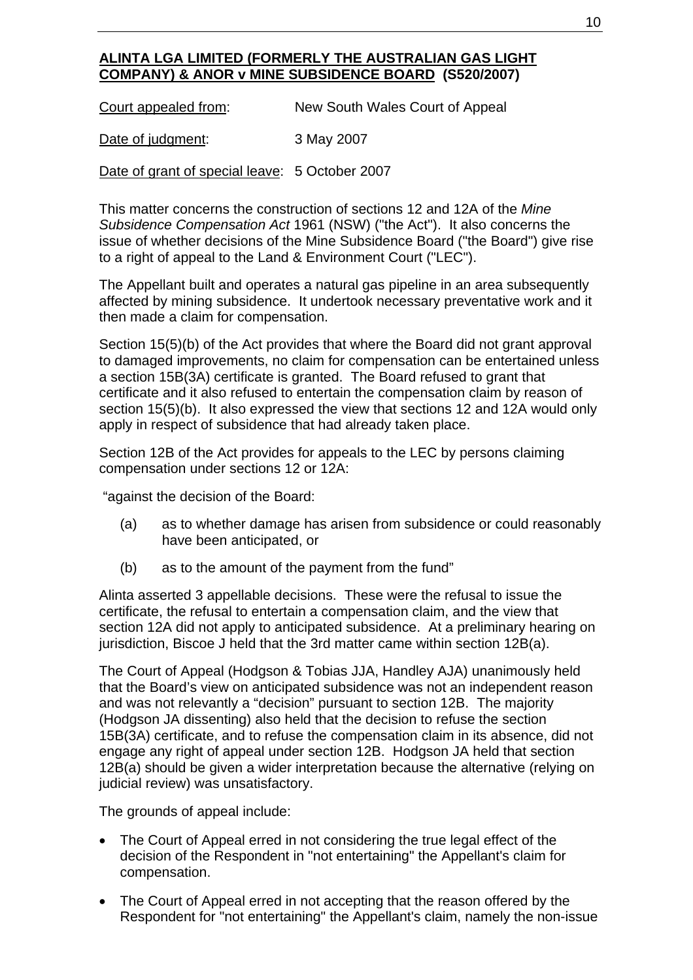# **ALINTA LGA LIMITED (FORMERLY THE AUSTRALIAN GAS LIGHT COMPANY) & ANOR v MINE SUBSIDENCE BOARD (S520/2007)**

Court appealed from: New South Wales Court of Appeal

Date of judgment: 3 May 2007

Date of grant of special leave: 5 October 2007

This matter concerns the construction of sections 12 and 12A of the *Mine Subsidence Compensation Act* 1961 (NSW) ("the Act"). It also concerns the issue of whether decisions of the Mine Subsidence Board ("the Board") give rise to a right of appeal to the Land & Environment Court ("LEC").

The Appellant built and operates a natural gas pipeline in an area subsequently affected by mining subsidence. It undertook necessary preventative work and it then made a claim for compensation.

Section 15(5)(b) of the Act provides that where the Board did not grant approval to damaged improvements, no claim for compensation can be entertained unless a section 15B(3A) certificate is granted. The Board refused to grant that certificate and it also refused to entertain the compensation claim by reason of section 15(5)(b). It also expressed the view that sections 12 and 12A would only apply in respect of subsidence that had already taken place.

Section 12B of the Act provides for appeals to the LEC by persons claiming compensation under sections 12 or 12A:

"against the decision of the Board:

- (a) as to whether damage has arisen from subsidence or could reasonably have been anticipated, or
- (b) as to the amount of the payment from the fund"

Alinta asserted 3 appellable decisions. These were the refusal to issue the certificate, the refusal to entertain a compensation claim, and the view that section 12A did not apply to anticipated subsidence. At a preliminary hearing on jurisdiction, Biscoe J held that the 3rd matter came within section 12B(a).

The Court of Appeal (Hodgson & Tobias JJA, Handley AJA) unanimously held that the Board's view on anticipated subsidence was not an independent reason and was not relevantly a "decision" pursuant to section 12B. The majority (Hodgson JA dissenting) also held that the decision to refuse the section 15B(3A) certificate, and to refuse the compensation claim in its absence, did not engage any right of appeal under section 12B. Hodgson JA held that section 12B(a) should be given a wider interpretation because the alternative (relying on judicial review) was unsatisfactory.

The grounds of appeal include:

- The Court of Appeal erred in not considering the true legal effect of the decision of the Respondent in "not entertaining" the Appellant's claim for compensation.
- The Court of Appeal erred in not accepting that the reason offered by the Respondent for "not entertaining" the Appellant's claim, namely the non-issue